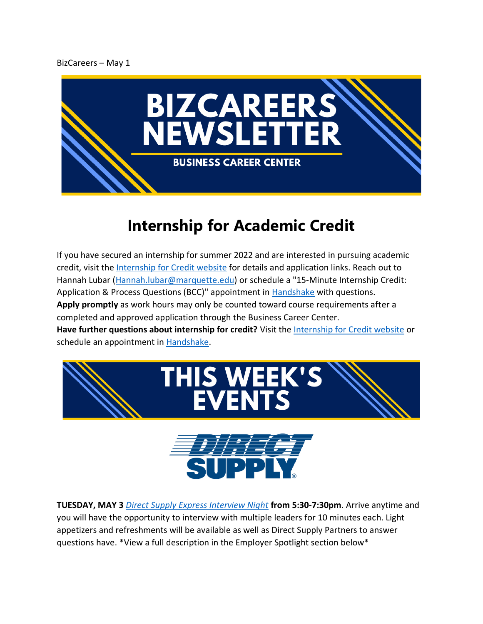## BizCareers – May 1



## **Internship for Academic Credit**

If you have secured an internship for summer 2022 and are interested in pursuing academic credit, visit the [Internship for Credit website](https://www.marquette.edu/business/career-center/undergrad/internships.php) for details and application links. Reach out to Hannah Lubar [\(Hannah.lubar@marquette.edu\)](mailto:Hannah.lubar@marquette.edu) or schedule a "15-Minute Internship Credit: Application & Process Questions (BCC)" appointment in [Handshake](https://nam02.safelinks.protection.outlook.com/?url=https%3A%2F%2Fmarquette.joinhandshake.com%2F&data=04%7C01%7Channah.lubar%40marquette.edu%7Cae262e94ded744e3819b08d9b67cef8c%7Cabe32f68c72d420db5bd750c63a268e4%7C0%7C0%7C637741469968200409%7CUnknown%7CTWFpbGZsb3d8eyJWIjoiMC4wLjAwMDAiLCJQIjoiV2luMzIiLCJBTiI6Ik1haWwiLCJXVCI6Mn0%3D%7C3000&sdata=2MJQJpvo3GmONyB9E%2FOGvDCEJmE4W5RXnmT9GXJZkqM%3D&reserved=0) with questions. **Apply promptly** as work hours may only be counted toward course requirements after a completed and approved application through the Business Career Center. **Have further questions about internship for credit?** Visit the [Internship for Credit website](https://www.marquette.edu/business/career-center/undergrad/internships.php) or schedule an appointment in [Handshake.](https://nam02.safelinks.protection.outlook.com/?url=https%3A%2F%2Fmarquette.joinhandshake.com%2F&data=04%7C01%7Channah.lubar%40marquette.edu%7Cae262e94ded744e3819b08d9b67cef8c%7Cabe32f68c72d420db5bd750c63a268e4%7C0%7C0%7C637741469968200409%7CUnknown%7CTWFpbGZsb3d8eyJWIjoiMC4wLjAwMDAiLCJQIjoiV2luMzIiLCJBTiI6Ik1haWwiLCJXVCI6Mn0%3D%7C3000&sdata=2MJQJpvo3GmONyB9E%2FOGvDCEJmE4W5RXnmT9GXJZkqM%3D&reserved=0)





**TUESDAY, MAY 3** *[Direct Supply Express Interview Night](https://marquette.joinhandshake.com/events/1035941/share_preview)* **from 5:30-7:30pm**. Arrive anytime and you will have the opportunity to interview with multiple leaders for 10 minutes each. Light appetizers and refreshments will be available as well as Direct Supply Partners to answer questions have. \*View a full description in the Employer Spotlight section below\*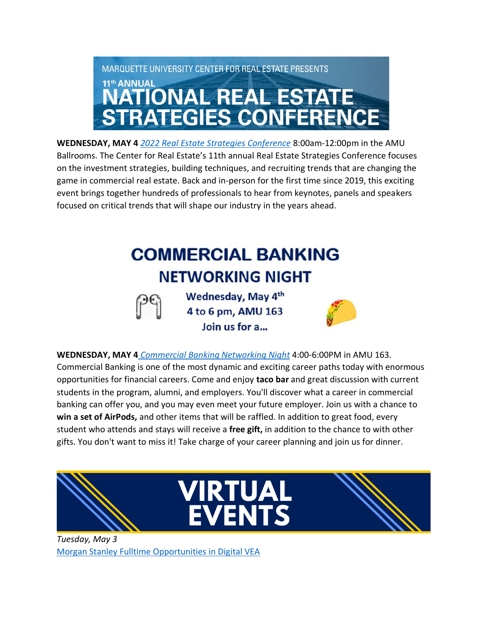

**WEDNESDAY, MAY 4** *[2022 Real Estate Strategies Conference](https://www.marquette.edu/business/re-conf/)* 8:00am-12:00pm in the AMU Ballrooms. The Center for Real Estate's 11th annual Real Estate Strategies Conference focuses on the investment strategies, building techniques, and recruiting trends that are changing the game in commercial real estate. Back and in-person for the first time since 2019, this exciting event brings together hundreds of professionals to hear from keynotes, panels and speakers focused on critical trends that will shape our industry in the years ahead.

## **COMMERCIAL BANKING NETWORKING NIGHT**

Wednesday, May 4<sup>th</sup> 4 to 6 pm, AMU 163 Join us for a...



**WEDNESDAY, MAY 4** *[Commercial Banking Networking Night](https://marquette.joinhandshake.com/events/1029613/share_preview)* 4:00-6:00PM in AMU 163. Commercial Banking is one of the most dynamic and exciting career paths today with enormous opportunities for financial careers. Come and enjoy **taco bar** and great discussion with current students in the program, alumni, and employers. You'll discover what a career in commercial banking can offer you, and you may even meet your future employer. Join us with a chance to **win a set of AirPods,** and other items that will be raffled. In addition to great food, every student who attends and stays will receive a **free gift,** in addition to the chance to with other gifts. You don't want to miss it! Take charge of your career planning and join us for dinner.



*Tuesday, May 3* [Morgan Stanley Fulltime Opportunities in Digital VEA](https://marquette.joinhandshake.com/edu/mass_emails/1109040/If%20you%20have%20secured%20an%20internship%20for%20spring%20or%20summer%202022%20and%20are%20interested%20in%20pursuing%20academic%20credit,%20visit%20the%20Internship%20for%20Credit%20website%20for%20details%20and%20application%20links.%20Reach%20out%20to%20Hannah%20Lubar%20(Hannah.lubar@marquette.edu)%20or%20schedule%20a%20%2215-Minute%20Internship%20Credit:%20Application%20&%20Process%20Questions%20(BCC)%22%20appointment%20in%20Handshake%20with%20questions.%E2%80%AF%20Apply%20promptly%20as%20work%20hours%20may%20only%20be%20counted%20toward%20course%20requirements%20after%20a%20completed%20and%20approved%20application%20through%20the%20Business%20Career%20Center.)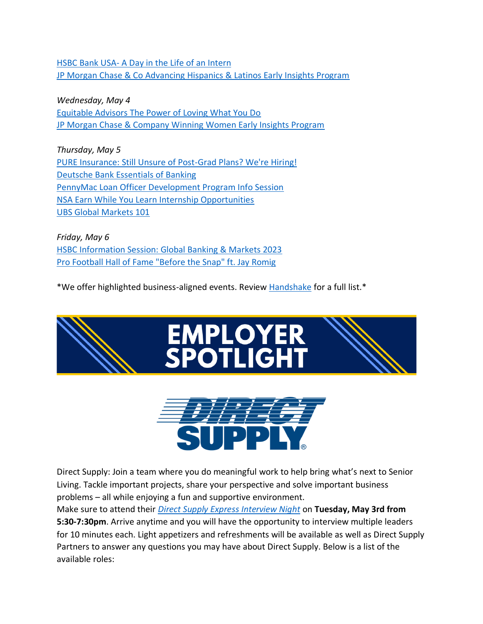HSBC Bank USA- [A Day in the Life of an Intern](https://marquette.joinhandshake.com/events/1029827/share_preview) **[JP Morgan Chase & Co Advancing Hispanics & Latinos Early Insights Program](https://marquette.joinhandshake.com/events/1029827/share_preview)** 

*Wednesday, May 4* [Equitable Advisors The Power of Loving What You Do](https://marquette.joinhandshake.com/events/1019923/share_preview) [JP Morgan Chase & Company Winning Women Early Insights Program](https://marquette.joinhandshake.com/events/1023899/share_preview) 

*Thursday, May 5* [PURE Insurance: Still Unsure of Post-Grad Plans? We're Hiring!](https://marquette.joinhandshake.com/events/1038206/share_preview) [Deutsche Bank Essentials of Banking](https://marquette.joinhandshake.com/events/959641/share_preview) [PennyMac Loan Officer Development Program Info Session](https://marquette.joinhandshake.com/events/1029402/share_preview) [NSA Earn While You Learn Internship Opportunities](https://marquette.joinhandshake.com/events/1003098/share_preview) [UBS Global Markets 101](https://marquette.joinhandshake.com/events/1033011/share_preview)

*Friday, May 6* [HSBC Information Session: Global Banking & Markets 2023](https://marquette.joinhandshake.com/events/1034313/share_preview) [Pro Football Hall of Fame "Before the Snap" ft. Jay Romig](https://marquette.joinhandshake.com/events/1033529/share_preview)

\*We offer highlighted business-aligned events. Review [Handshake](https://marquette.joinhandshake.com/edu/events) for a full list.\*





Direct Supply: Join a team where you do meaningful work to help bring what's next to Senior Living. Tackle important projects, share your perspective and solve important business problems – all while enjoying a fun and supportive environment.

Make sure to attend their *[Direct Supply Express Interview Night](https://marquette.joinhandshake.com/events/1035941/share_preview)* on **Tuesday, May 3rd from 5:30-7:30pm**. Arrive anytime and you will have the opportunity to interview multiple leaders for 10 minutes each. Light appetizers and refreshments will be available as well as Direct Supply Partners to answer any questions you may have about Direct Supply. Below is a list of the available roles: